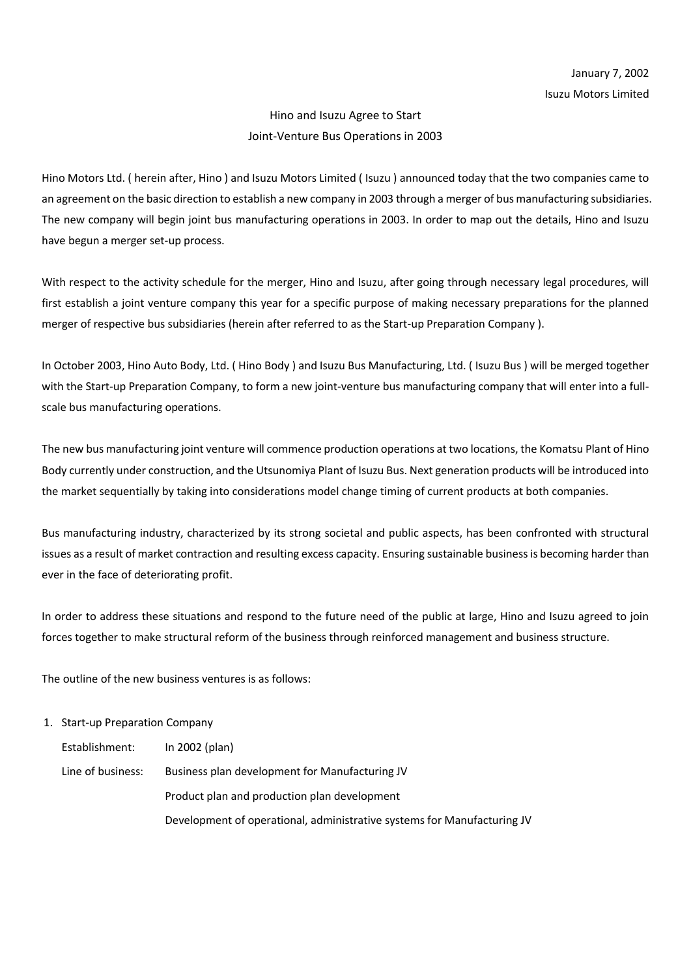## Hino and Isuzu Agree to Start Joint-Venture Bus Operations in 2003

Hino Motors Ltd. ( herein after, Hino ) and Isuzu Motors Limited ( Isuzu ) announced today that the two companies came to an agreement on the basic direction to establish a new company in 2003 through a merger of bus manufacturing subsidiaries. The new company will begin joint bus manufacturing operations in 2003. In order to map out the details, Hino and Isuzu have begun a merger set-up process.

With respect to the activity schedule for the merger, Hino and Isuzu, after going through necessary legal procedures, will first establish a joint venture company this year for a specific purpose of making necessary preparations for the planned merger of respective bus subsidiaries (herein after referred to as the Start-up Preparation Company ).

In October 2003, Hino Auto Body, Ltd. ( Hino Body ) and Isuzu Bus Manufacturing, Ltd. ( Isuzu Bus ) will be merged together with the Start-up Preparation Company, to form a new joint-venture bus manufacturing company that will enter into a fullscale bus manufacturing operations.

The new bus manufacturing joint venture will commence production operations at two locations, the Komatsu Plant of Hino Body currently under construction, and the Utsunomiya Plant of Isuzu Bus. Next generation products will be introduced into the market sequentially by taking into considerations model change timing of current products at both companies.

Bus manufacturing industry, characterized by its strong societal and public aspects, has been confronted with structural issues as a result of market contraction and resulting excess capacity. Ensuring sustainable business is becoming harder than ever in the face of deteriorating profit.

In order to address these situations and respond to the future need of the public at large, Hino and Isuzu agreed to join forces together to make structural reform of the business through reinforced management and business structure.

The outline of the new business ventures is as follows:

## 1. Start-up Preparation Company

| Establishment:    | In $2002$ (plan)                                                        |
|-------------------|-------------------------------------------------------------------------|
| Line of business: | Business plan development for Manufacturing JV                          |
|                   | Product plan and production plan development                            |
|                   | Development of operational, administrative systems for Manufacturing JV |